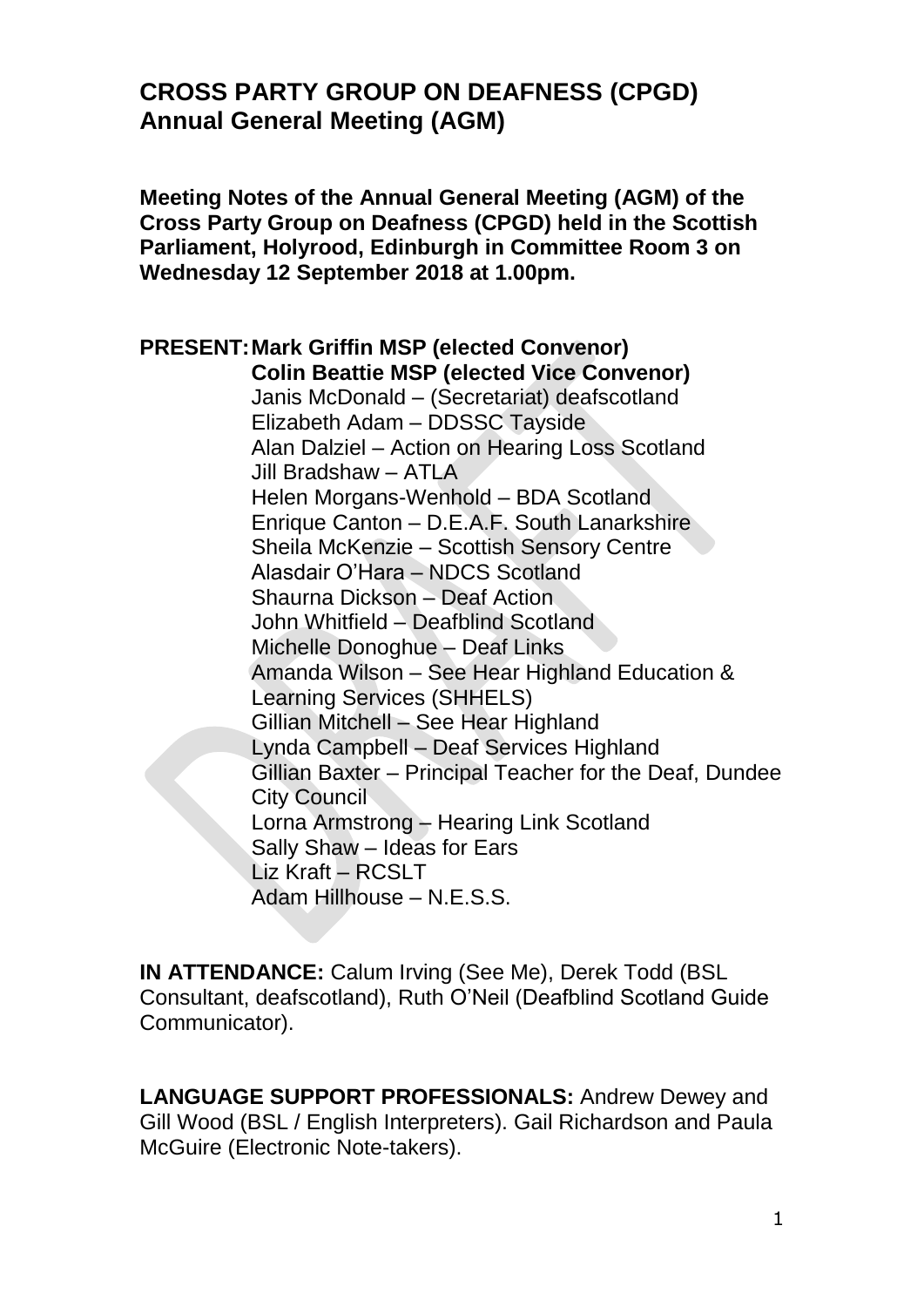## **CROSS PARTY GROUP ON DEAFNESS (CPGD) Annual General Meeting (AGM)**

**Meeting Notes of the Annual General Meeting (AGM) of the Cross Party Group on Deafness (CPGD) held in the Scottish Parliament, Holyrood, Edinburgh in Committee Room 3 on Wednesday 12 September 2018 at 1.00pm.**

## **PRESENT:Mark Griffin MSP (elected Convenor) Colin Beattie MSP (elected Vice Convenor)**

Janis McDonald – (Secretariat) deafscotland Elizabeth Adam – DDSSC Tayside Alan Dalziel – Action on Hearing Loss Scotland Jill Bradshaw – ATLA Helen Morgans-Wenhold – BDA Scotland Enrique Canton – D.E.A.F. South Lanarkshire Sheila McKenzie – Scottish Sensory Centre Alasdair O'Hara – NDCS Scotland Shaurna Dickson – Deaf Action John Whitfield – Deafblind Scotland Michelle Donoghue – Deaf Links Amanda Wilson – See Hear Highland Education & Learning Services (SHHELS) Gillian Mitchell – See Hear Highland Lynda Campbell – Deaf Services Highland Gillian Baxter – Principal Teacher for the Deaf, Dundee City Council Lorna Armstrong – Hearing Link Scotland Sally Shaw – Ideas for Ears Liz Kraft – RCSLT Adam Hillhouse – N.E.S.S.

**IN ATTENDANCE:** Calum Irving (See Me), Derek Todd (BSL Consultant, deafscotland), Ruth O'Neil (Deafblind Scotland Guide Communicator).

**LANGUAGE SUPPORT PROFESSIONALS:** Andrew Dewey and Gill Wood (BSL / English Interpreters). Gail Richardson and Paula McGuire (Electronic Note-takers).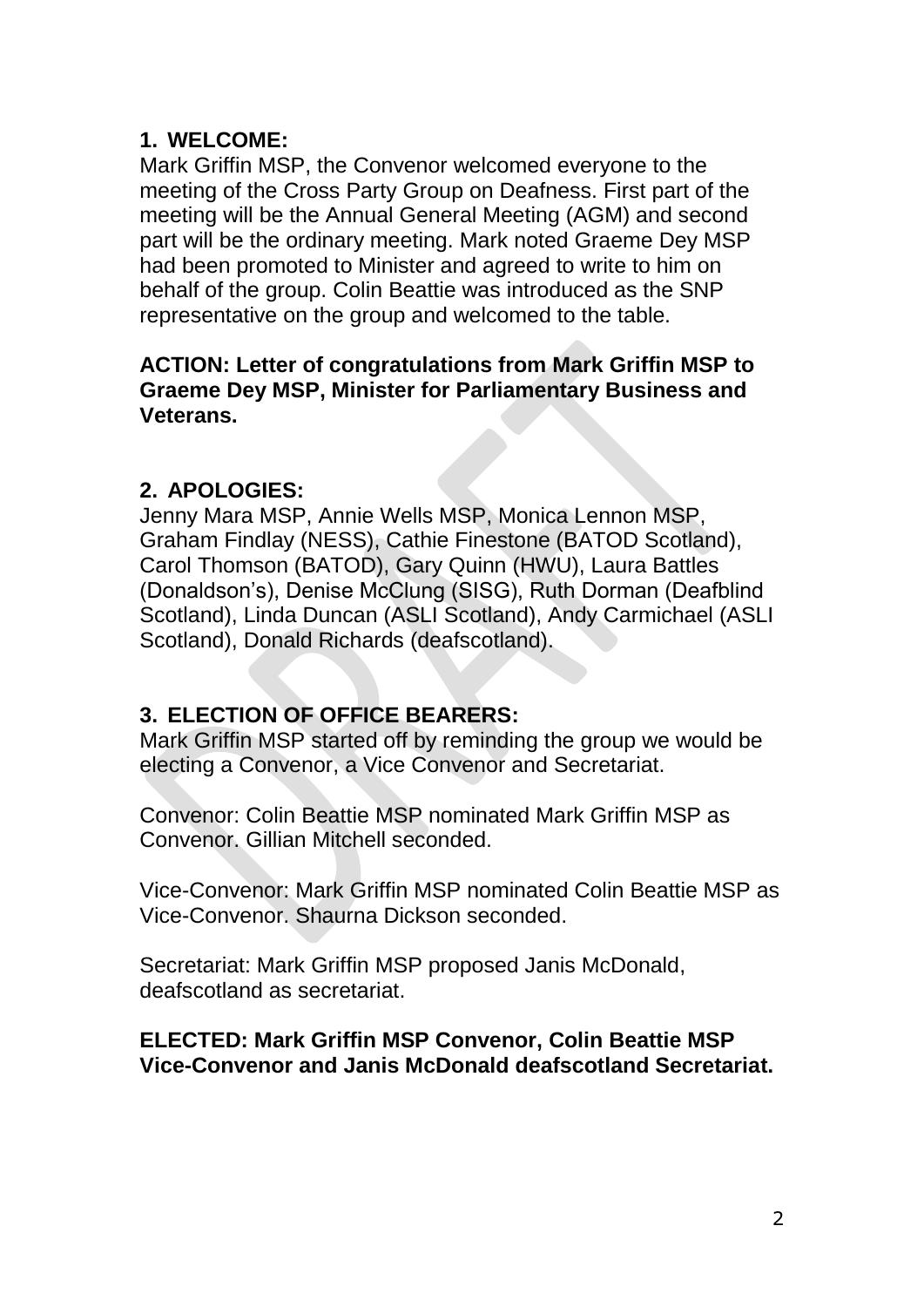## **1. WELCOME:**

Mark Griffin MSP, the Convenor welcomed everyone to the meeting of the Cross Party Group on Deafness. First part of the meeting will be the Annual General Meeting (AGM) and second part will be the ordinary meeting. Mark noted Graeme Dey MSP had been promoted to Minister and agreed to write to him on behalf of the group. Colin Beattie was introduced as the SNP representative on the group and welcomed to the table.

#### **ACTION: Letter of congratulations from Mark Griffin MSP to Graeme Dey MSP, Minister for Parliamentary Business and Veterans.**

#### **2. APOLOGIES:**

Jenny Mara MSP, Annie Wells MSP, Monica Lennon MSP, Graham Findlay (NESS), Cathie Finestone (BATOD Scotland), Carol Thomson (BATOD), Gary Quinn (HWU), Laura Battles (Donaldson's), Denise McClung (SISG), Ruth Dorman (Deafblind Scotland), Linda Duncan (ASLI Scotland), Andy Carmichael (ASLI Scotland), Donald Richards (deafscotland).

#### **3. ELECTION OF OFFICE BEARERS:**

Mark Griffin MSP started off by reminding the group we would be electing a Convenor, a Vice Convenor and Secretariat.

Convenor: Colin Beattie MSP nominated Mark Griffin MSP as Convenor. Gillian Mitchell seconded.

Vice-Convenor: Mark Griffin MSP nominated Colin Beattie MSP as Vice-Convenor. Shaurna Dickson seconded.

Secretariat: Mark Griffin MSP proposed Janis McDonald, deafscotland as secretariat.

#### **ELECTED: Mark Griffin MSP Convenor, Colin Beattie MSP Vice-Convenor and Janis McDonald deafscotland Secretariat.**